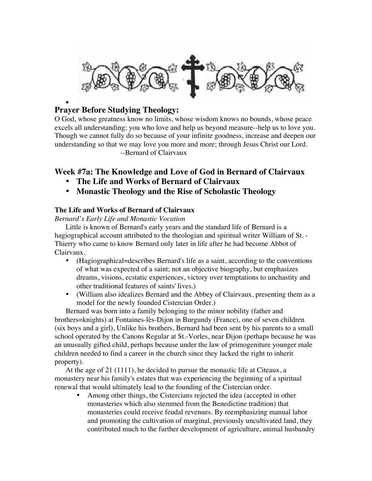

### . **Prayer Before Studying Theology:**

O God, whose greatness know no limits, whose wisdom knows no bounds, whose peace excels all understanding; you who love and help us beyond measure--help us to love you. Though we cannot fully do so because of your infinite goodness, increase and deepen our understanding so that we may love you more and more; through Jesus Christ our Lord. --Bernard of Clairvaux

# **Week #7a: The Knowledge and Love of God in Bernard of Clairvaux**

- **The Life and Works of Bernard of Clairvaux**
- **Monastic Theology and the Rise of Scholastic Theology**

## **The Life and Works of Bernard of Clairvaux**

*Bernard's Early Life and Monastic Vocation*

Little is known of Bernard's early years and the standard life of Bernard is a hagiographical account attributed to the theologian and spiritual writer William of St. - Thierry who came to know Bernard only later in life after he had become Abbot of Clairvaux.

- (Hagiographical=describes Bernard's life as a saint, according to the conventions of what was expected of a saint; not an objective biography, but emphasizes dreams, visions, ecstatic experiences, victory over temptations to unchastity and other traditional features of saints' lives.)
- (William also idealizes Bernard and the Abbey of Clairvaux, presenting them as a model for the newly founded Cistercian Order.)

Bernard was born into a family belonging to the minor nobility (father and brothers=knights) at Fontaines-lès-Dijon in Burgundy (France), one of seven children (six boys and a girl), Unlike his brothers, Bernard had been sent by his parents to a small school operated by the Canons Regular at St.-Vorles, near Dijon (perhaps because he was an unusually gifted child, perhaps because under the law of primogeniture younger male children needed to find a career in the church since they lacked the right to inherit property).

At the age of 21 (1111), he decided to pursue the monastic life at Citeaux, a monastery near his family's estates that was experiencing the beginning of a spiritual renewal that would ultimately lead to the founding of the Cistercian order.

• Among other things, the Cistercians rejected the idea (accepted in other monasteries which also stemmed from the Benedictine tradition) that monasteries could receive feudal revenues. By reemphasizing manual labor and promoting the cultivation of marginal, previously uncultivated land, they contributed much to the further development of agriculture, animal husbandry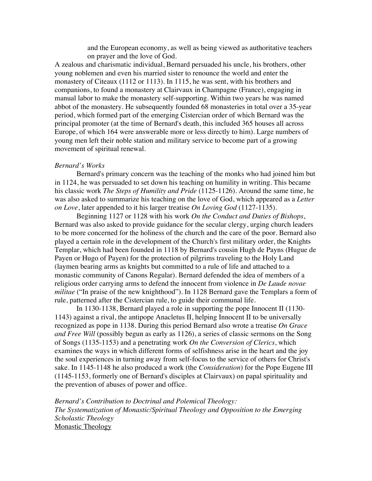and the European economy, as well as being viewed as authoritative teachers on prayer and the love of God.

A zealous and charismatic individual, Bernard persuaded his uncle, his brothers, other young noblemen and even his married sister to renounce the world and enter the monastery of Citeaux (1112 or 1113). In 1115, he was sent, with his brothers and companions, to found a monastery at Clairvaux in Champagne (France), engaging in manual labor to make the monastery self-supporting. Within two years he was named abbot of the monastery. He subsequently founded 68 monasteries in total over a 35-year period, which formed part of the emerging Cistercian order of which Bernard was the principal promoter (at the time of Bernard's death, this included 365 houses all across Europe, of which 164 were answerable more or less directly to him). Large numbers of young men left their noble station and military service to become part of a growing movement of spiritual renewal.

#### *Bernard's Works*

Bernard's primary concern was the teaching of the monks who had joined him but in 1124, he was persuaded to set down his teaching on humility in writing. This became his classic work *The Steps of Humility and Pride* (1125-1126). Around the same time, he was also asked to summarize his teaching on the love of God, which appeared as a *Letter on Love*, later appended to it his larger treatise *On Loving God* (1127-1135).

Beginning 1127 or 1128 with his work *On the Conduct and Duties of Bishops*, Bernard was also asked to provide guidance for the secular clergy, urging church leaders to be more concerned for the holiness of the church and the care of the poor. Bernard also played a certain role in the development of the Church's first military order, the Knights Templar, which had been founded in 1118 by Bernard's cousin Hugh de Payns (Hugue de Payen or Hugo of Payen) for the protection of pilgrims traveling to the Holy Land (laymen bearing arms as knights but committed to a rule of life and attached to a monastic community of Canons Regular). Bernard defended the idea of members of a religious order carrying arms to defend the innocent from violence in *De Laude novae militae* ("In praise of the new knighthood"). In 1128 Bernard gave the Templars a form of rule, patterned after the Cistercian rule, to guide their communal life.

In 1130-1138, Bernard played a role in supporting the pope Innocent II (1130- 1143) against a rival, the antipope Anacletus II, helping Innocent II to be universally recognized as pope in 1138. During this period Bernard also wrote a treatise *On Grace and Free Will* (possibly begun as early as 1126), a series of classic sermons on the Song of Songs (1135-1153) and a penetrating work *On the Conversion of Clerics*, which examines the ways in which different forms of selfishness arise in the heart and the joy the soul experiences in turning away from self-focus to the service of others for Christ's sake. In 1145-1148 he also produced a work (the *Consideration*) for the Pope Eugene III (1145-1153, formerly one of Bernard's disciples at Clairvaux) on papal spirituality and the prevention of abuses of power and office.

*Bernard's Contribution to Doctrinal and Polemical Theology: The Systematization of Monastic/Spiritual Theology and Opposition to the Emerging Scholastic Theology* Monastic Theology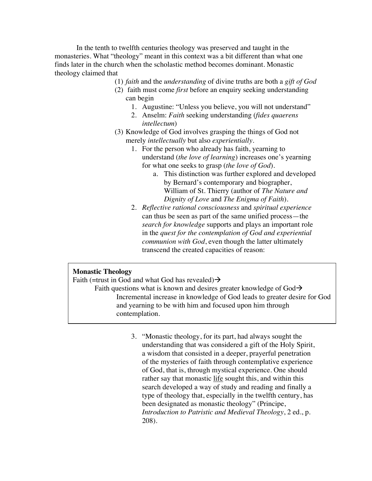In the tenth to twelfth centuries theology was preserved and taught in the monasteries. What "theology" meant in this context was a bit different than what one finds later in the church when the scholastic method becomes dominant. Monastic theology claimed that

(1) *faith* and the *understanding* of divine truths are both a *gift of God*

- (2) faith must come *first* before an enquiry seeking understanding can begin
	- 1. Augustine: "Unless you believe, you will not understand"
	- 2. Anselm: *Faith* seeking understanding (*fides quaerens intellectum*)
- (3) Knowledge of God involves grasping the things of God not merely *intellectually* but also *experientially*.
	- 1. For the person who already has faith, yearning to understand (*the love of learning*) increases one's yearning for what one seeks to grasp (*the love of God*).
		- a. This distinction was further explored and developed by Bernard's contemporary and biographer, William of St. Thierry (author of *The Nature and Dignity of Love* and *The Enigma of Faith*).
	- 2. *Reflective rational consciousness* and *spiritual experience* can thus be seen as part of the same unified process—the *search for knowledge* supports and plays an important role in the *quest for the contemplation of God and experiential communion with God*, even though the latter ultimately transcend the created capacities of reason:

### **Monastic Theology**

Faith (=trust in God and what God has revealed) $\rightarrow$ 

Faith questions what is known and desires greater knowledge of  $God \rightarrow$ Incremental increase in knowledge of God leads to greater desire for God and yearning to be with him and focused upon him through contemplation.

> 3. "Monastic theology, for its part, had always sought the understanding that was considered a gift of the Holy Spirit, a wisdom that consisted in a deeper, prayerful penetration of the mysteries of faith through contemplative experience of God, that is, through mystical experience. One should rather say that monastic life sought this, and within this search developed a way of study and reading and finally a type of theology that, especially in the twelfth century, has been designated as monastic theology" (Principe, *Introduction to Patristic and Medieval Theology*, 2 ed., p. 208).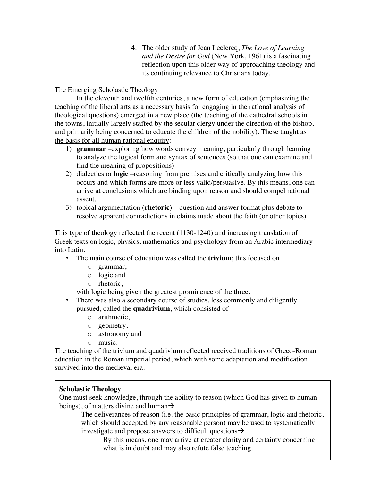4. The older study of Jean Leclercq, *The Love of Learning and the Desire for God* (New York, 1961) is a fascinating reflection upon this older way of approaching theology and its continuing relevance to Christians today.

The Emerging Scholastic Theology

In the eleventh and twelfth centuries, a new form of education (emphasizing the teaching of the liberal arts as a necessary basis for engaging in the rational analysis of theological questions) emerged in a new place (the teaching of the cathedral schools in the towns, initially largely staffed by the secular clergy under the direction of the bishop, and primarily being concerned to educate the children of the nobility). These taught as the basis for all human rational enquiry:

- 1) **grammar** –exploring how words convey meaning, particularly through learning to analyze the logical form and syntax of sentences (so that one can examine and find the meaning of propositions)
- 2) dialectics or **logic** –reasoning from premises and critically analyzing how this occurs and which forms are more or less valid/persuasive. By this means, one can arrive at conclusions which are binding upon reason and should compel rational assent.
- 3) topical argumentation (**rhetoric**) question and answer format plus debate to resolve apparent contradictions in claims made about the faith (or other topics)

This type of theology reflected the recent (1130-1240) and increasing translation of Greek texts on logic, physics, mathematics and psychology from an Arabic intermediary into Latin.

- The main course of education was called the **trivium**; this focused on
	- o grammar,
	- o logic and
	- o rhetoric,

with logic being given the greatest prominence of the three.

- There was also a secondary course of studies, less commonly and diligently pursued, called the **quadrivium**, which consisted of
	- o arithmetic,
	- o geometry,
	- o astronomy and
	- o music.

The teaching of the trivium and quadrivium reflected received traditions of Greco-Roman education in the Roman imperial period, which with some adaptation and modification survived into the medieval era.

## **Scholastic Theology**

One must seek knowledge, through the ability to reason (which God has given to human beings), of matters divine and human $\rightarrow$ 

The deliverances of reason (i.e. the basic principles of grammar, logic and rhetoric, which should accepted by any reasonable person) may be used to systematically investigate and propose answers to difficult questions  $\rightarrow$ 

By this means, one may arrive at greater clarity and certainty concerning what is in doubt and may also refute false teaching.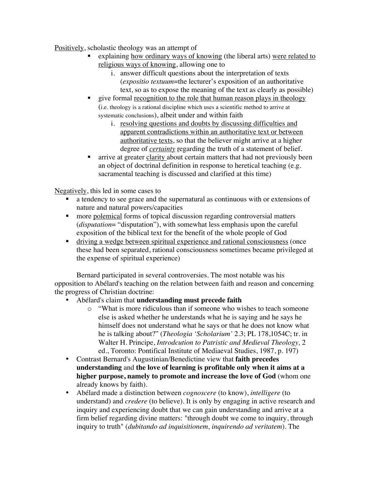Positively, scholastic theology was an attempt of

- explaining how ordinary ways of knowing (the liberal arts) were related to religious ways of knowing, allowing one to
	- i. answer difficult questions about the interpretation of texts (*expositio textuum*=the lecturer's exposition of an authoritative text, so as to expose the meaning of the text as clearly as possible)
- give formal recognition to the role that human reason plays in theology (i.e. theology is a rational discipline which uses a scientific method to arrive at systematic conclusions), albeit under and within faith
	- i. resolving questions and doubts by discussing difficulties and apparent contradictions within an authoritative text or between authoritative texts, so that the believer might arrive at a higher degree of *certainty* regarding the truth of a statement of belief.
- arrive at greater clarity about certain matters that had not previously been an object of doctrinal definition in response to heretical teaching (e.g. sacramental teaching is discussed and clarified at this time)

Negatively, this led in some cases to

- a tendency to see grace and the supernatural as continuous with or extensions of nature and natural powers/capacities
- **n** more polemical forms of topical discussion regarding controversial matters (*disputation*= "disputation"), with somewhat less emphasis upon the careful exposition of the biblical text for the benefit of the whole people of God
- driving a wedge between spiritual experience and rational consciousness (once these had been separated, rational consciousness sometimes became privileged at the expense of spiritual experience)

Bernard participated in several controversies. The most notable was his opposition to Abélard's teaching on the relation between faith and reason and concerning the progress of Christian doctrine:

- Abélard's claim that **understanding must precede faith**
	- o "What is more ridiculous than if someone who wishes to teach someone else is asked whether he understands what he is saying and he says he himself does not understand what he says or that he does not know what he is talking about?" (*Theologia 'Scholarium'* 2.3; PL 178,1054C; tr. in Walter H. Principe, *Introdcution to Patristic and Medieval Theology,* 2 ed., Toronto: Pontifical Institute of Mediaeval Studies, 1987, p. 197)
- Contrast Bernard's Augustinian/Benedictine view that **faith precedes understanding** and **the love of learning is profitable only when it aims at a higher purpose, namely to promote and increase the love of God** (whom one already knows by faith).
- Abélard made a distinction between *cognoscere* (to know), *intelligere* (to understand) and *credere* (to believe). It is only by engaging in active research and inquiry and experiencing doubt that we can gain understanding and arrive at a firm belief regarding divine matters: "through doubt we come to inquiry, through inquiry to truth" (*dubitando ad inquisitionem, inquirendo ad veritatem*). The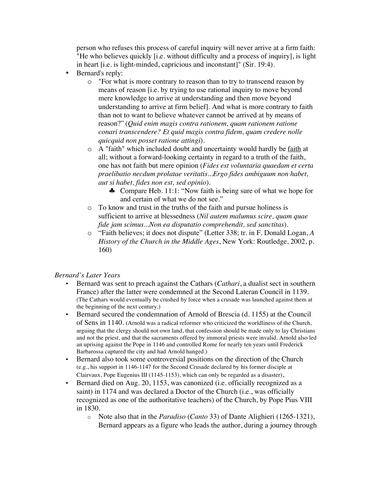person who refuses this process of careful inquiry will never arrive at a firm faith: "He who believes quickly [i.e. without difficulty and a process of inquiry], is light in heart [i.e. is light-minded, capricious and inconstant]" (Sir. 19:4).

- Bernard's reply:
	- o "For what is more contrary to reason than to try to transcend reason by means of reason [i.e. by trying to use rational inquiry to move beyond mere knowledge to arrive at understanding and then move beyond understanding to arrive at firm belief]. And what is more contrary to faith than not to want to believe whatever cannot be arrived at by means of reason?" (*Quid enim magis contra rationem, quam rationem ratione conari transcendere? Et quid magis contra fidem, quam credere nolle quicquid non posset ratione attingi*).
	- o A "faith" which included doubt and uncertainty would hardly be faith at all; without a forward-looking certainty in regard to a truth of the faith, one has not faith but mere opinion (*Fides est voluntaria quaedam et certa praelibatio necdum prolatae veritatis...Ergo fides ambiguum non habet, aut si habet, fides non est, sed opinio*).
		- ♣ Compare Heb. 11:1: "Now faith is being sure of what we hope for and certain of what we do not see."
	- o To know and trust in the truths of the faith and pursue holiness is sufficient to arrive at blessedness (*Nil autem malumus scire, quam quae fide jam scimus...Non ea disputatio comprehendit, sed sanctitas*).
	- o "Faith believes; it does not dispute" (Letter 338; tr. in F. Donald Logan, *A History of the Church in the Middle Ages*, New York: Routledge, 2002, p. 160)

### *Bernard's Later Years*

- Bernard was sent to preach against the Cathars (*Cathari*, a dualist sect in southern France) after the latter were condemned at the Second Lateran Council in 1139. (The Cathars would eventually be crushed by force when a crusade was launched against them at the beginning of the next century.)
- Bernard secured the condemnation of Arnold of Brescia (d. 1155) at the Council of Sens in 1140. (Arnold was a radical reformer who criticized the worldliness of the Church, arguing that the clergy should not own land, that confession should be made only to lay Christians and not the priest, and that the sacraments offered by immoral priests were invalid. Arnold also led an uprising against the Pope in 1146 and controlled Rome for nearly ten years until Frederick Barbarossa captured the city and had Arnold hanged.)
- Bernard also took some controversial positions on the direction of the Church (e.g., his support in 1146-1147 for the Second Crusade declared by his former disciple at Clairvaux, Pope Eugenius III (1145-1153), which can only be regarded as a disaster),
- Bernard died on Aug. 20, 1153, was canonized (i.e. officially recognized as a saint) in 1174 and was declared a Doctor of the Church (i.e., was officially recognized as one of the authoritative teachers) of the Church, by Pope Pius VIII in 1830.
	- o Note also that in the *Paradiso* (*Canto* 33) of Dante Alighieri (1265-1321), Bernard appears as a figure who leads the author, during a journey through